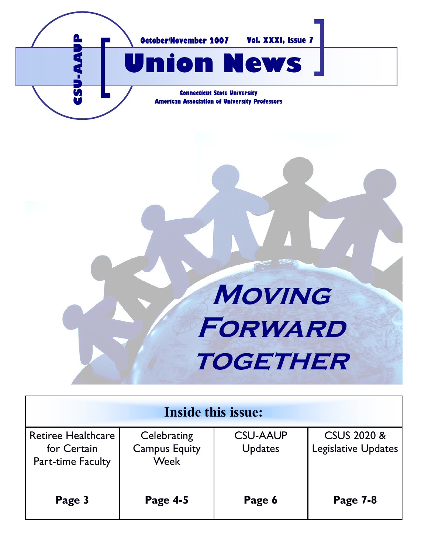

# **Moving Forward together**

| Inside this issue:                                                   |                                             |                                   |                                                      |
|----------------------------------------------------------------------|---------------------------------------------|-----------------------------------|------------------------------------------------------|
| <b>Retiree Healthcare</b><br>for Certain<br><b>Part-time Faculty</b> | Celebrating<br><b>Campus Equity</b><br>Week | <b>CSU-AAUP</b><br><b>Updates</b> | <b>CSUS 2020 &amp;</b><br><b>Legislative Updates</b> |
| Page 3                                                               | <b>Page 4-5</b>                             | Page 6                            | <b>Page 7-8</b>                                      |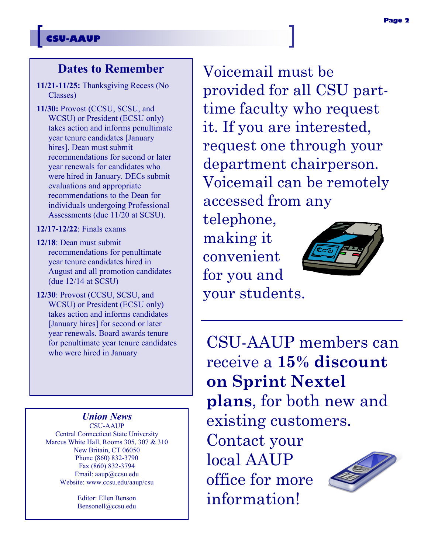### **CSU-AAUP**

# **Dates to Remember**

- **11/21-11/25:** Thanksgiving Recess (No Classes)
- **11/30:** Provost (CCSU, SCSU, and WCSU) or President (ECSU only) takes action and informs penultimate year tenure candidates [January hires]. Dean must submit recommendations for second or later year renewals for candidates who were hired in January. DECs submit evaluations and appropriate recommendations to the Dean for individuals undergoing Professional Assessments (due 11/20 at SCSU).
- **12/17-12/22**: Finals exams
- **12/18**: Dean must submit recommendations for penultimate year tenure candidates hired in August and all promotion candidates (due 12/14 at SCSU)
- **12/30**: Provost (CCSU, SCSU, and WCSU) or President (ECSU only) takes action and informs candidates [January hires] for second or later year renewals. Board awards tenure for penultimate year tenure candidates who were hired in January

#### *Union News*

CSU-AAUP Central Connecticut State University Marcus White Hall, Rooms 305, 307 & 310 New Britain, CT 06050 Phone (860) 832-3790 Fax (860) 832-3794 Email: aaup@ccsu.edu Website: www.ccsu.edu/aaup/csu

> Editor: Ellen Benson Bensonell@ccsu.edu

Voicemail must be provided for all CSU parttime faculty who request it. If you are interested, request one through your department chairperson. Voicemail can be remotely accessed from any

telephone, making it convenient for you and your students.

information!



CSU-AAUP members can receive a **15% discount on Sprint Nextel plans**, for both new and existing customers. Contact your local AAUP office for more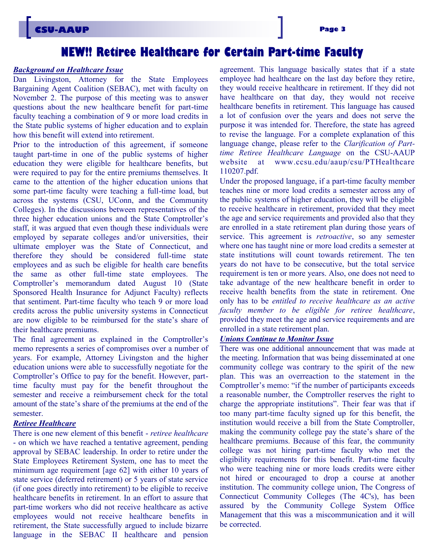## **NEW!! Retiree Healthcare for Certain Part-time Faculty**

#### *Background on Healthcare Issue*

Dan Livingston, Attorney for the State Employees Bargaining Agent Coalition (SEBAC), met with faculty on November 2. The purpose of this meeting was to answer questions about the new healthcare benefit for part-time faculty teaching a combination of 9 or more load credits in the State public systems of higher education and to explain how this benefit will extend into retirement.

Prior to the introduction of this agreement, if someone taught part-time in one of the public systems of higher education they were eligible for healthcare benefits, but were required to pay for the entire premiums themselves. It came to the attention of the higher education unions that some part-time faculty were teaching a full-time load, but across the systems (CSU, UConn, and the Community Colleges). In the discussions between representatives of the three higher education unions and the State Comptroller's staff, it was argued that even though these individuals were employed by separate colleges and/or universities, their ultimate employer was the State of Connecticut, and therefore they should be considered full-time state employees and as such be eligible for health care benefits the same as other full-time state employees. The Comptroller's memorandum dated August 10 (State Sponsored Health Insurance for Adjunct Faculty) reflects that sentiment. Part-time faculty who teach 9 or more load credits across the public university systems in Connecticut are now eligible to be reimbursed for the state's share of their healthcare premiums.

The final agreement as explained in the Comptroller's memo represents a series of compromises over a number of years. For example, Attorney Livingston and the higher education unions were able to successfully negotiate for the Comptroller's Office to pay for the benefit. However, parttime faculty must pay for the benefit throughout the semester and receive a reimbursement check for the total amount of the state's share of the premiums at the end of the semester.

#### *Retiree Healthcare*

There is one new element of this benefit - *retiree healthcare*  - on which we have reached a tentative agreement, pending approval by SEBAC leadership. In order to retire under the State Employees Retirement System, one has to meet the minimum age requirement [age 62] with either 10 years of state service (deferred retirement) or 5 years of state service (if one goes directly into retirement) to be eligible to receive healthcare benefits in retirement. In an effort to assure that part-time workers who did not receive healthcare as active employees would not receive healthcare benefits in retirement, the State successfully argued to include bizarre language in the SEBAC II healthcare and pension

agreement. This language basically states that if a state employee had healthcare on the last day before they retire, they would receive healthcare in retirement. If they did not have healthcare on that day, they would not receive healthcare benefits in retirement. This language has caused a lot of confusion over the years and does not serve the purpose it was intended for. Therefore, the state has agreed to revise the language. For a complete explanation of this language change, please refer to the *Clarification of Parttime Retiree Healthcare Language* on the CSU-AAUP website at www.ccsu.edu/aaup/csu/PTHealthcare 110207.pdf.

Under the proposed language, if a part-time faculty member teaches nine or more load credits a semester across any of the public systems of higher education, they will be eligible to receive healthcare in retirement, provided that they meet the age and service requirements and provided also that they are enrolled in a state retirement plan during those years of service. This agreement is *retroactive*, so any semester where one has taught nine or more load credits a semester at state institutions will count towards retirement. The ten years do not have to be consecutive, but the total service requirement is ten or more years. Also, one does not need to take advantage of the new healthcare benefit in order to receive health benefits from the state in retirement. One only has to be *entitled to receive healthcare as an active faculty member to be eligible for retiree healthcare*, provided they meet the age and service requirements and are enrolled in a state retirement plan.

#### *Unions Continue to Monitor Issue*

There was one additional announcement that was made at the meeting. Information that was being disseminated at one community college was contrary to the spirit of the new plan. This was an overreaction to the statement in the Comptroller's memo: "if the number of participants exceeds a reasonable number, the Comptroller reserves the right to charge the appropriate institutions". Their fear was that if too many part-time faculty signed up for this benefit, the institution would receive a bill from the State Comptroller, making the community college pay the state's share of the healthcare premiums. Because of this fear, the community college was not hiring part-time faculty who met the eligibility requirements for this benefit. Part-time faculty who were teaching nine or more loads credits were either not hired or encouraged to drop a course at another institution. The community college union, The Congress of Connecticut Community Colleges (The 4C's), has been assured by the Community College System Office Management that this was a miscommunication and it will be corrected.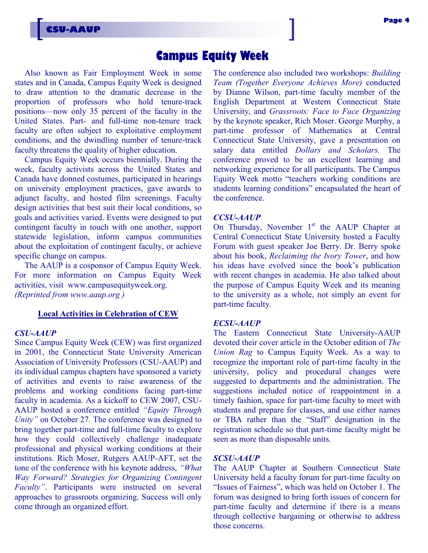## **Campus Equity Week**

Also known as Fair Employment Week in some states and in Canada, Campus Equity Week is designed to draw attention to the dramatic decrease in the proportion of professors who hold tenure-track positions—now only 35 percent of the faculty in the United States. Part- and full-time non-tenure track faculty are often subject to exploitative employment conditions, and the dwindling number of tenure-track faculty threatens the quality of higher education.

Campus Equity Week occurs biennially. During the week, faculty activists across the United States and Canada have donned costumes, participated in hearings on university employment practices, gave awards to adjunct faculty, and hosted film screenings. Faculty design activities that best suit their local conditions, so goals and activities varied. Events were designed to put contingent faculty in touch with one another, support statewide legislation, inform campus communities about the exploitation of contingent faculty, or achieve specific change on campus.

The AAUP is a cosponsor of Campus Equity Week. For more information on Campus Equity Week activities, visit www.campusequityweek.org. *(Reprinted from www.aaup.org )*

#### **Local Activities in Celebration of CEW**

#### *CSU-AAUP*

Since Campus Equity Week (CEW) was first organized in 2001, the Connecticut State University American Association of University Professors (CSU-AAUP) and its individual campus chapters have sponsored a variety of activities and events to raise awareness of the problems and working conditions facing part-time faculty in academia. As a kickoff to CEW 2007, CSU-AAUP hosted a conference entitled *"Equity Through Unity"* on October 27. The conference was designed to bring together part-time and full-time faculty to explore how they could collectively challenge inadequate professional and physical working conditions at their institutions. Rich Moser, Rutgers AAUP-AFT, set the tone of the conference with his keynote address, *"What Way Forward? Strategies for Organizing Contingent Faculty"*. Participants were instructed on several approaches to grassroots organizing. Success will only come through an organized effort.

The conference also included two workshops: *Building Team (Together Everyone Achieves More)* conducted by Dianne Wilson, part-time faculty member of the English Department at Western Connecticut State University, and *Grassroots: Face to Face Organizing* by the keynote speaker, Rich Moser. George Murphy, a part-time professor of Mathematics at Central Connecticut State University, gave a presentation on salary data entitled *Dollars and Scholars.* The conference proved to be an excellent learning and networking experience for all participants. The Campus Equity Week motto "teachers working conditions are students learning conditions" encapsulated the heart of the conference.

#### *CCSU-AAUP*

On Thursday, November  $1<sup>st</sup>$  the AAUP Chapter at Central Connecticut State University hosted a Faculty Forum with guest speaker Joe Berry. Dr. Berry spoke about his book, *Reclaiming the Ivory Tower*, and how his ideas have evolved since the book's publication with recent changes in academia. He also talked about the purpose of Campus Equity Week and its meaning to the university as a whole, not simply an event for part-time faculty.

#### *ECSU-AAUP*

The Eastern Connecticut State University-AAUP devoted their cover article in the October edition of *The Union Rag* to Campus Equity Week. As a way to recognize the important role of part-time faculty in the university, policy and procedural changes were suggested to departments and the administration. The suggestions included notice of reappointment in a timely fashion, space for part-time faculty to meet with students and prepare for classes, and use either names or TBA rather than the "Staff" designation in the registration schedule so that part-time faculty might be seen as more than disposable units.

#### *SCSU-AAUP*

The AAUP Chapter at Southern Connecticut State University held a faculty forum for part-time faculty on "Issues of Fairness", which was held on October 1. The forum was designed to bring forth issues of concern for part-time faculty and determine if there is a means through collective bargaining or otherwise to address those concerns.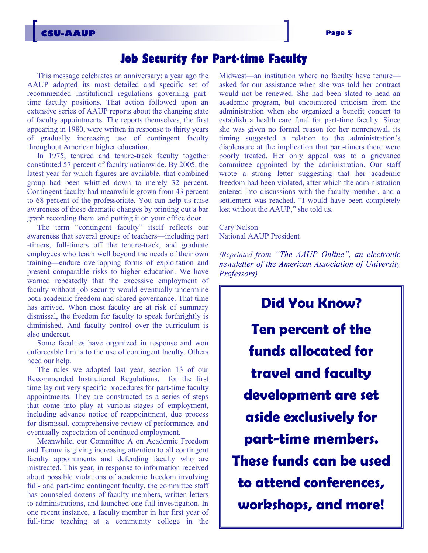## **Job Security for Part-time Faculty**

This message celebrates an anniversary: a year ago the AAUP adopted its most detailed and specific set of recommended institutional regulations governing parttime faculty positions. That action followed upon an extensive series of AAUP reports about the changing state of faculty appointments. The reports themselves, the first appearing in 1980, were written in response to thirty years of gradually increasing use of contingent faculty throughout American higher education.

In 1975, tenured and tenure-track faculty together constituted 57 percent of faculty nationwide. By 2005, the latest year for which figures are available, that combined group had been whittled down to merely 32 percent. Contingent faculty had meanwhile grown from 43 percent to 68 percent of the professoriate. You can help us raise awareness of these dramatic changes by printing out a bar graph recording them and putting it on your office door.

The term "contingent faculty" itself reflects our awareness that several groups of teachers—including part -timers, full-timers off the tenure-track, and graduate employees who teach well beyond the needs of their own training—endure overlapping forms of exploitation and present comparable risks to higher education. We have warned repeatedly that the excessive employment of faculty without job security would eventually undermine both academic freedom and shared governance. That time has arrived. When most faculty are at risk of summary dismissal, the freedom for faculty to speak forthrightly is diminished. And faculty control over the curriculum is also undercut.

Some faculties have organized in response and won enforceable limits to the use of contingent faculty. Others need our help.

The rules we adopted last year, section 13 of our Recommended Institutional Regulations, for the first time lay out very specific procedures for part-time faculty appointments. They are constructed as a series of steps that come into play at various stages of employment, including advance notice of reappointment, due process for dismissal, comprehensive review of performance, and eventually expectation of continued employment.

Meanwhile, our Committee A on Academic Freedom and Tenure is giving increasing attention to all contingent faculty appointments and defending faculty who are mistreated. This year, in response to information received about possible violations of academic freedom involving full- and part-time contingent faculty, the committee staff has counseled dozens of faculty members, written letters to administrations, and launched one full investigation. In one recent instance, a faculty member in her first year of full-time teaching at a community college in the

Midwest—an institution where no faculty have tenure asked for our assistance when she was told her contract would not be renewed. She had been slated to head an academic program, but encountered criticism from the administration when she organized a benefit concert to establish a health care fund for part-time faculty. Since she was given no formal reason for her nonrenewal, its timing suggested a relation to the administration's displeasure at the implication that part-timers there were poorly treated. Her only appeal was to a grievance committee appointed by the administration. Our staff wrote a strong letter suggesting that her academic freedom had been violated, after which the administration entered into discussions with the faculty member, and a settlement was reached. "I would have been completely lost without the AAUP," she told us.

Cary Nelson National AAUP President

*(Reprinted from "The AAUP Online", an electronic newsletter of the American Association of University Professors)* 

**Did You Know? Ten percent of the funds allocated for travel and faculty development are set aside exclusively for part-time members. These funds can be used to attend conferences, workshops, and more!**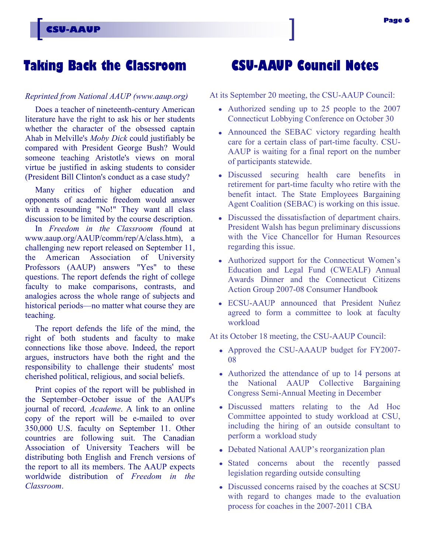# **Taking Back the Classroom**

#### *Reprinted from National AAUP (www.aaup.org)*

Does a teacher of nineteenth-century American literature have the right to ask his or her students whether the character of the obsessed captain Ahab in Melville's *Moby Dick* could justifiably be compared with President George Bush? Would someone teaching Aristotle's views on moral virtue be justified in asking students to consider (President Bill Clinton's conduct as a case study?

Many critics of higher education and opponents of academic freedom would answer with a resounding "No!" They want all class discussion to be limited by the course description.

In *Freedom in the Classroom (*found at www.aaup.org/AAUP/comm/rep/A/class.htm), a challenging new report released on September 11, the American Association of University Professors (AAUP) answers "Yes" to these questions. The report defends the right of college faculty to make comparisons, contrasts, and analogies across the whole range of subjects and historical periods—no matter what course they are teaching.

The report defends the life of the mind, the right of both students and faculty to make connections like those above. Indeed, the report argues, instructors have both the right and the responsibility to challenge their students' most cherished political, religious, and social beliefs.

Print copies of the report will be published in the September–October issue of the AAUP's journal of record*, Academe*. A link to an online copy of the report will be e-mailed to over 350,000 U.S. faculty on September 11. Other countries are following suit. The Canadian Association of University Teachers will be distributing both English and French versions of the report to all its members. The AAUP expects worldwide distribution of *Freedom in the Classroom*.

# **CSU-AAUP Council Notes**

At its September 20 meeting, the CSU-AAUP Council:

- Authorized sending up to 25 people to the 2007 Connecticut Lobbying Conference on October 30
- Announced the SEBAC victory regarding health care for a certain class of part-time faculty. CSU-AAUP is waiting for a final report on the number of participants statewide.
- Discussed securing health care benefits in retirement for part-time faculty who retire with the benefit intact. The State Employees Bargaining Agent Coalition (SEBAC) is working on this issue.
- Discussed the dissatisfaction of department chairs. President Walsh has begun preliminary discussions with the Vice Chancellor for Human Resources regarding this issue.
- Authorized support for the Connecticut Women's Education and Legal Fund (CWEALF) Annual Awards Dinner and the Connecticut Citizens Action Group 2007-08 Consumer Handbook
- ECSU-AAUP announced that President Nuñez agreed to form a committee to look at faculty workload

At its October 18 meeting, the CSU-AAUP Council:

- Approved the CSU-AAAUP budget for FY2007- 08
- Authorized the attendance of up to 14 persons at the National AAUP Collective Bargaining Congress Semi-Annual Meeting in December
- Discussed matters relating to the Ad Hoc Committee appointed to study workload at CSU, including the hiring of an outside consultant to perform a workload study
- Debated National AAUP's reorganization plan
- Stated concerns about the recently passed legislation regarding outside consulting
- Discussed concerns raised by the coaches at SCSU with regard to changes made to the evaluation process for coaches in the 2007-2011 CBA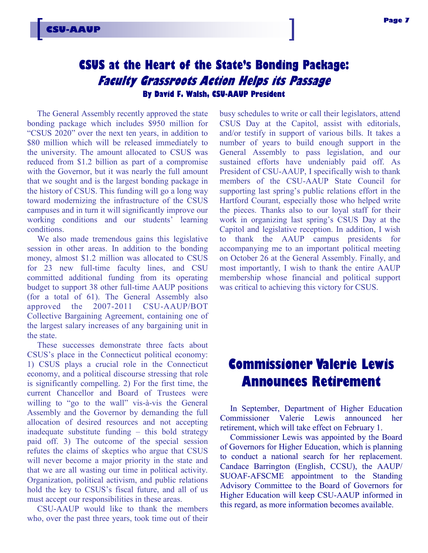## **CSUS at the Heart of the State's Bonding Package: Faculty Grassroots Action Helps its Passage By David F. Walsh, CSU-AAUP President**

The General Assembly recently approved the state bonding package which includes \$950 million for ―CSUS 2020‖ over the next ten years, in addition to \$80 million which will be released immediately to the university. The amount allocated to CSUS was reduced from \$1.2 billion as part of a compromise with the Governor, but it was nearly the full amount that we sought and is the largest bonding package in the history of CSUS. This funding will go a long way toward modernizing the infrastructure of the CSUS campuses and in turn it will significantly improve our working conditions and our students' learning conditions.

We also made tremendous gains this legislative session in other areas. In addition to the bonding money, almost \$1.2 million was allocated to CSUS for 23 new full-time faculty lines, and CSU committed additional funding from its operating budget to support 38 other full-time AAUP positions (for a total of 61). The General Assembly also approved the 2007-2011 CSU-AAUP/BOT Collective Bargaining Agreement, containing one of the largest salary increases of any bargaining unit in the state.

These successes demonstrate three facts about CSUS's place in the Connecticut political economy: 1) CSUS plays a crucial role in the Connecticut economy, and a political discourse stressing that role is significantly compelling. 2) For the first time, the current Chancellor and Board of Trustees were willing to "go to the wall" vis-à-vis the General Assembly and the Governor by demanding the full allocation of desired resources and not accepting inadequate substitute funding – this bold strategy paid off. 3) The outcome of the special session refutes the claims of skeptics who argue that CSUS will never become a major priority in the state and that we are all wasting our time in political activity. Organization, political activism, and public relations hold the key to CSUS's fiscal future, and all of us must accept our responsibilities in these areas.

CSU-AAUP would like to thank the members who, over the past three years, took time out of their busy schedules to write or call their legislators, attend CSUS Day at the Capitol, assist with editorials, and/or testify in support of various bills. It takes a number of years to build enough support in the General Assembly to pass legislation, and our sustained efforts have undeniably paid off. As President of CSU-AAUP, I specifically wish to thank members of the CSU-AAUP State Council for supporting last spring's public relations effort in the Hartford Courant, especially those who helped write the pieces. Thanks also to our loyal staff for their work in organizing last spring's CSUS Day at the Capitol and legislative reception. In addition, I wish to thank the AAUP campus presidents for accompanying me to an important political meeting on October 26 at the General Assembly. Finally, and most importantly, I wish to thank the entire AAUP membership whose financial and political support was critical to achieving this victory for CSUS.

# **Commissioner Valerie Lewis Announces Retirement**

In September, Department of Higher Education Commissioner Valerie Lewis announced her retirement, which will take effect on February 1.

Commissioner Lewis was appointed by the Board of Governors for Higher Education, which is planning to conduct a national search for her replacement. Candace Barrington (English, CCSU), the AAUP/ SUOAF-AFSCME appointment to the Standing Advisory Committee to the Board of Governors for Higher Education will keep CSU-AAUP informed in this regard, as more information becomes available.